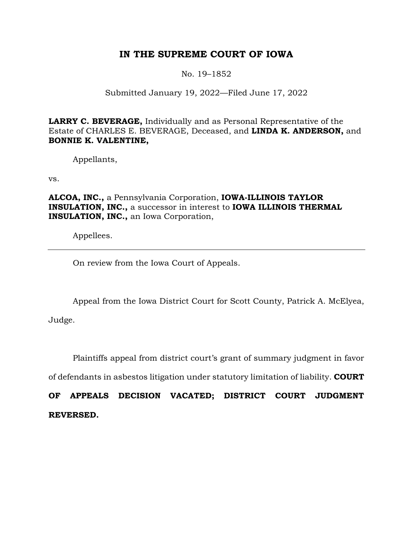# **IN THE SUPREME COURT OF IOWA**

No. 19–1852

# Submitted January 19, 2022—Filed June 17, 2022

**LARRY C. BEVERAGE,** Individually and as Personal Representative of the Estate of CHARLES E. BEVERAGE, Deceased, and **LINDA K. ANDERSON,** and **BONNIE K. VALENTINE,**

Appellants,

vs.

**ALCOA, INC.,** a Pennsylvania Corporation, **IOWA-ILLINOIS TAYLOR INSULATION, INC.,** a successor in interest to **IOWA ILLINOIS THERMAL INSULATION, INC.,** an Iowa Corporation,

Appellees.

On review from the Iowa Court of Appeals.

Appeal from the Iowa District Court for Scott County, Patrick A. McElyea, Judge.

Plaintiffs appeal from district court's grant of summary judgment in favor

of defendants in asbestos litigation under statutory limitation of liability. **COURT** 

**OF APPEALS DECISION VACATED; DISTRICT COURT JUDGMENT REVERSED.**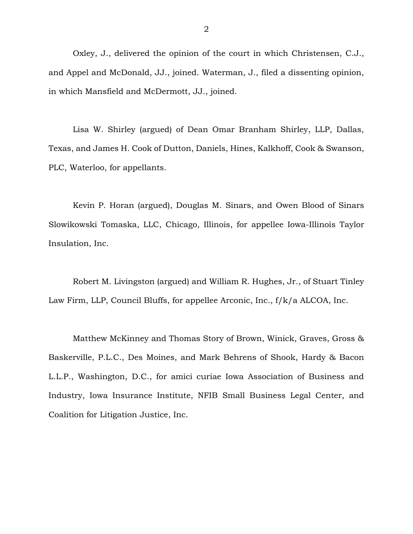Oxley, J., delivered the opinion of the court in which Christensen, C.J., and Appel and McDonald, JJ., joined. Waterman, J., filed a dissenting opinion, in which Mansfield and McDermott, JJ., joined.

Lisa W. Shirley (argued) of Dean Omar Branham Shirley, LLP, Dallas, Texas, and James H. Cook of Dutton, Daniels, Hines, Kalkhoff, Cook & Swanson, PLC, Waterloo, for appellants.

Kevin P. Horan (argued), Douglas M. Sinars, and Owen Blood of Sinars Slowikowski Tomaska, LLC, Chicago, Illinois, for appellee Iowa-Illinois Taylor Insulation, Inc.

Robert M. Livingston (argued) and William R. Hughes, Jr., of Stuart Tinley Law Firm, LLP, Council Bluffs, for appellee Arconic, Inc., f/k/a ALCOA, Inc.

Matthew McKinney and Thomas Story of Brown, Winick, Graves, Gross & Baskerville, P.L.C., Des Moines, and Mark Behrens of Shook, Hardy & Bacon L.L.P., Washington, D.C., for amici curiae Iowa Association of Business and Industry, Iowa Insurance Institute, NFIB Small Business Legal Center, and Coalition for Litigation Justice, Inc.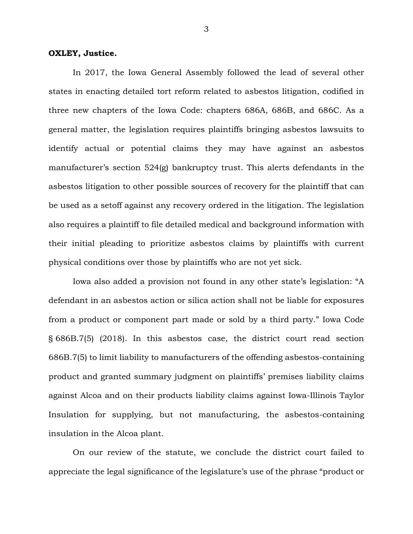#### **OXLEY, Justice.**

In 2017, the Iowa General Assembly followed the lead of several other states in enacting detailed tort reform related to asbestos litigation, codified in three new chapters of the Iowa Code: chapters 686A, 686B, and 686C. As a general matter, the legislation requires plaintiffs bringing asbestos lawsuits to identify actual or potential claims they may have against an asbestos manufacturer's section 524(g) bankruptcy trust. This alerts defendants in the asbestos litigation to other possible sources of recovery for the plaintiff that can be used as a setoff against any recovery ordered in the litigation. The legislation also requires a plaintiff to file detailed medical and background information with their initial pleading to prioritize asbestos claims by plaintiffs with current physical conditions over those by plaintiffs who are not yet sick.

Iowa also added a provision not found in any other state's legislation: "A defendant in an asbestos action or silica action shall not be liable for exposures from a product or component part made or sold by a third party." Iowa Code § 686B.7(5) (2018). In this asbestos case, the district court read section 686B.7(5) to limit liability to manufacturers of the offending asbestos-containing product and granted summary judgment on plaintiffs' premises liability claims against Alcoa and on their products liability claims against Iowa-Illinois Taylor Insulation for supplying, but not manufacturing, the asbestos-containing insulation in the Alcoa plant.

On our review of the statute, we conclude the district court failed to appreciate the legal significance of the legislature's use of the phrase "product or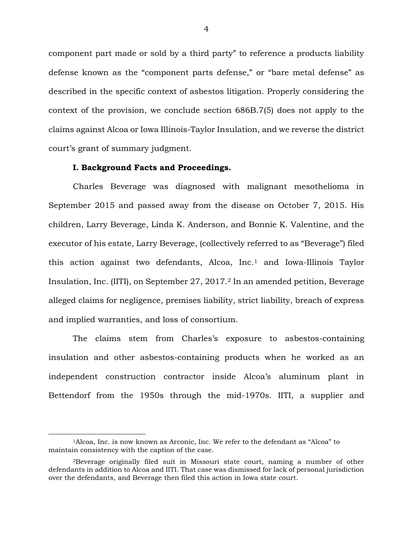component part made or sold by a third party" to reference a products liability defense known as the "component parts defense," or "bare metal defense" as described in the specific context of asbestos litigation. Properly considering the context of the provision, we conclude section 686B.7(5) does not apply to the claims against Alcoa or Iowa Illinois-Taylor Insulation, and we reverse the district court's grant of summary judgment.

#### **I. Background Facts and Proceedings.**

Charles Beverage was diagnosed with malignant mesothelioma in September 2015 and passed away from the disease on October 7, 2015. His children, Larry Beverage, Linda K. Anderson, and Bonnie K. Valentine, and the executor of his estate, Larry Beverage, (collectively referred to as "Beverage") filed this action against two defendants, Alcoa, Inc.<sup>1</sup> and Iowa-Illinois Taylor Insulation, Inc. (IITI), on September 27, 2017.<sup>2</sup> In an amended petition, Beverage alleged claims for negligence, premises liability, strict liability, breach of express and implied warranties, and loss of consortium.

The claims stem from Charles's exposure to asbestos-containing insulation and other asbestos-containing products when he worked as an independent construction contractor inside Alcoa's aluminum plant in Bettendorf from the 1950s through the mid-1970s. IITI, a supplier and

<sup>1</sup>Alcoa, Inc. is now known as Arconic, Inc. We refer to the defendant as "Alcoa" to maintain consistency with the caption of the case.

<sup>2</sup>Beverage originally filed suit in Missouri state court, naming a number of other defendants in addition to Alcoa and IITI. That case was dismissed for lack of personal jurisdiction over the defendants, and Beverage then filed this action in Iowa state court.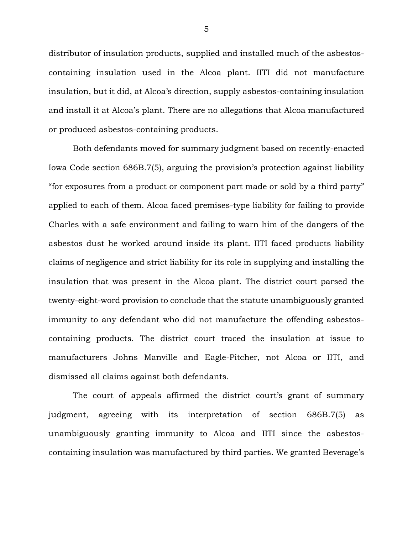distributor of insulation products, supplied and installed much of the asbestoscontaining insulation used in the Alcoa plant. IITI did not manufacture insulation, but it did, at Alcoa's direction, supply asbestos-containing insulation and install it at Alcoa's plant. There are no allegations that Alcoa manufactured or produced asbestos-containing products.

Both defendants moved for summary judgment based on recently-enacted Iowa Code section 686B.7(5), arguing the provision's protection against liability "for exposures from a product or component part made or sold by a third party" applied to each of them. Alcoa faced premises-type liability for failing to provide Charles with a safe environment and failing to warn him of the dangers of the asbestos dust he worked around inside its plant. IITI faced products liability claims of negligence and strict liability for its role in supplying and installing the insulation that was present in the Alcoa plant. The district court parsed the twenty-eight-word provision to conclude that the statute unambiguously granted immunity to any defendant who did not manufacture the offending asbestoscontaining products. The district court traced the insulation at issue to manufacturers Johns Manville and Eagle-Pitcher, not Alcoa or IITI, and dismissed all claims against both defendants.

The court of appeals affirmed the district court's grant of summary judgment, agreeing with its interpretation of section 686B.7(5) as unambiguously granting immunity to Alcoa and IITI since the asbestoscontaining insulation was manufactured by third parties. We granted Beverage's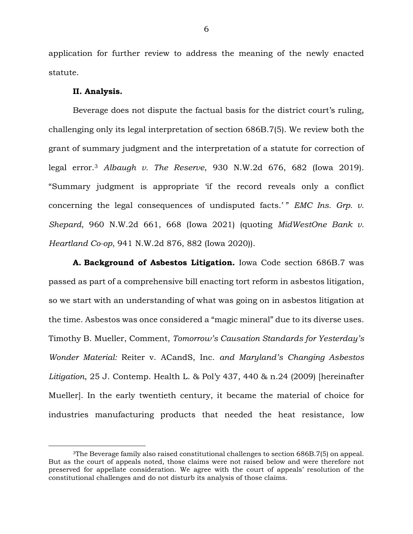application for further review to address the meaning of the newly enacted statute.

#### **II. Analysis.**

Beverage does not dispute the factual basis for the district court's ruling, challenging only its legal interpretation of section 686B.7(5). We review both the grant of summary judgment and the interpretation of a statute for correction of legal error.<sup>3</sup> *Albaugh v. The Reserve*, 930 N.W.2d 676, 682 (Iowa 2019). "Summary judgment is appropriate 'if the record reveals only a conflict concerning the legal consequences of undisputed facts.'" *EMC Ins. Grp. v. Shepard*, 960 N.W.2d 661, 668 (Iowa 2021) (quoting *MidWestOne Bank v. Heartland Co-op*, 941 N.W.2d 876, 882 (Iowa 2020)).

**A. Background of Asbestos Litigation.** Iowa Code section 686B.7 was passed as part of a comprehensive bill enacting tort reform in asbestos litigation, so we start with an understanding of what was going on in asbestos litigation at the time. Asbestos was once considered a "magic mineral" due to its diverse uses. Timothy B. Mueller, Comment, *Tomorrow's Causation Standards for Yesterday's Wonder Material:* Reiter v. ACandS, Inc. *and Maryland's Changing Asbestos Litigation*, 25 J. Contemp. Health L. & Pol'y 437, 440 & n.24 (2009) [hereinafter Mueller]. In the early twentieth century, it became the material of choice for industries manufacturing products that needed the heat resistance, low

<sup>3</sup>The Beverage family also raised constitutional challenges to section 686B.7(5) on appeal. But as the court of appeals noted, those claims were not raised below and were therefore not preserved for appellate consideration. We agree with the court of appeals' resolution of the constitutional challenges and do not disturb its analysis of those claims.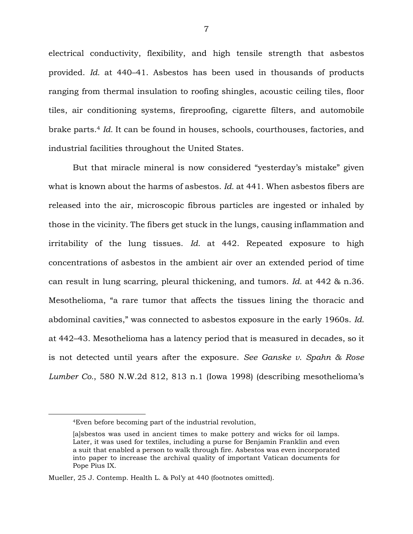electrical conductivity, flexibility, and high tensile strength that asbestos provided. *Id.* at 440–41. Asbestos has been used in thousands of products ranging from thermal insulation to roofing shingles, acoustic ceiling tiles, floor tiles, air conditioning systems, fireproofing, cigarette filters, and automobile brake parts.<sup>4</sup> *Id.* It can be found in houses, schools, courthouses, factories, and industrial facilities throughout the United States.

But that miracle mineral is now considered "yesterday's mistake" given what is known about the harms of asbestos. *Id.* at 441. When asbestos fibers are released into the air, microscopic fibrous particles are ingested or inhaled by those in the vicinity. The fibers get stuck in the lungs, causing inflammation and irritability of the lung tissues. *Id.* at 442. Repeated exposure to high concentrations of asbestos in the ambient air over an extended period of time can result in lung scarring, pleural thickening, and tumors. *Id.* at 442 & n.36. Mesothelioma, "a rare tumor that affects the tissues lining the thoracic and abdominal cavities," was connected to asbestos exposure in the early 1960s. *Id.* at 442–43. Mesothelioma has a latency period that is measured in decades, so it is not detected until years after the exposure. *See Ganske v. Spahn & Rose Lumber Co.*, 580 N.W.2d 812, 813 n.1 (Iowa 1998) (describing mesothelioma's

<sup>4</sup>Even before becoming part of the industrial revolution,

<sup>[</sup>a]sbestos was used in ancient times to make pottery and wicks for oil lamps. Later, it was used for textiles, including a purse for Benjamin Franklin and even a suit that enabled a person to walk through fire. Asbestos was even incorporated into paper to increase the archival quality of important Vatican documents for Pope Pius IX.

Mueller, 25 J. Contemp. Health L. & Pol'y at 440 (footnotes omitted).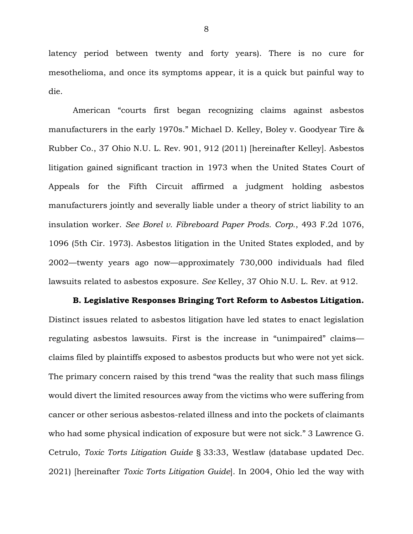latency period between twenty and forty years). There is no cure for mesothelioma, and once its symptoms appear, it is a quick but painful way to die.

American "courts first began recognizing claims against asbestos manufacturers in the early 1970s." Michael D. Kelley, Boley v. Goodyear Tire & Rubber Co., 37 Ohio N.U. L. Rev. 901, 912 (2011) [hereinafter Kelley]. Asbestos litigation gained significant traction in 1973 when the United States Court of Appeals for the Fifth Circuit affirmed a judgment holding asbestos manufacturers jointly and severally liable under a theory of strict liability to an insulation worker. *See Borel v. Fibreboard Paper Prods. Corp.*, 493 F.2d 1076, 1096 (5th Cir. 1973). Asbestos litigation in the United States exploded, and by 2002—twenty years ago now—approximately 730,000 individuals had filed lawsuits related to asbestos exposure. *See* Kelley, 37 Ohio N.U. L. Rev. at 912.

**B. Legislative Responses Bringing Tort Reform to Asbestos Litigation.**  Distinct issues related to asbestos litigation have led states to enact legislation regulating asbestos lawsuits. First is the increase in "unimpaired" claims claims filed by plaintiffs exposed to asbestos products but who were not yet sick. The primary concern raised by this trend "was the reality that such mass filings would divert the limited resources away from the victims who were suffering from cancer or other serious asbestos-related illness and into the pockets of claimants who had some physical indication of exposure but were not sick." 3 Lawrence G. Cetrulo, *Toxic Torts Litigation Guide* § 33:33, Westlaw (database updated Dec. 2021) [hereinafter *Toxic Torts Litigation Guide*]. In 2004, Ohio led the way with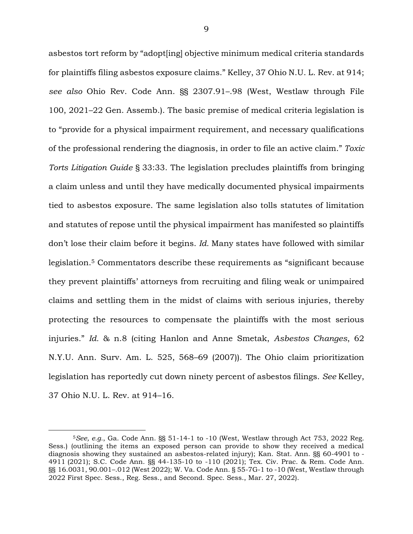asbestos tort reform by "adopt[ing] objective minimum medical criteria standards for plaintiffs filing asbestos exposure claims." Kelley, 37 Ohio N.U. L. Rev. at 914; *see also* Ohio Rev. Code Ann. §§ 2307.91–.98 (West, Westlaw through File 100, 2021–22 Gen. Assemb.). The basic premise of medical criteria legislation is to "provide for a physical impairment requirement, and necessary qualifications of the professional rendering the diagnosis, in order to file an active claim." *Toxic Torts Litigation Guide* § 33:33. The legislation precludes plaintiffs from bringing a claim unless and until they have medically documented physical impairments tied to asbestos exposure. The same legislation also tolls statutes of limitation and statutes of repose until the physical impairment has manifested so plaintiffs don't lose their claim before it begins. *Id.* Many states have followed with similar legislation.<sup>5</sup> Commentators describe these requirements as "significant because they prevent plaintiffs' attorneys from recruiting and filing weak or unimpaired claims and settling them in the midst of claims with serious injuries, thereby protecting the resources to compensate the plaintiffs with the most serious injuries." *Id.* & n.8 (citing Hanlon and Anne Smetak, *Asbestos Changes*, 62 N.Y.U. Ann. Surv. Am. L. 525, 568–69 (2007)). The Ohio claim prioritization legislation has reportedly cut down ninety percent of asbestos filings. *See* Kelley, 37 Ohio N.U. L. Rev. at 914–16.

 $5$ See, e.g., Ga. Code Ann. §§ 51-14-1 to  $-10$  (West, Westlaw through Act 753, 2022 Reg. Sess.) (outlining the items an exposed person can provide to show they received a medical diagnosis showing they sustained an asbestos-related injury); Kan. Stat. Ann. §§ 60-4901 to - 4911 (2021); S.C. Code Ann. §§ 44-135-10 to -110 (2021); Tex. Civ. Prac. & Rem. Code Ann. §§ 16.0031, 90.001–.012 (West 2022); W. Va. Code Ann. § 55-7G-1 to -10 (West, Westlaw through 2022 First Spec. Sess., Reg. Sess., and Second. Spec. Sess., Mar. 27, 2022).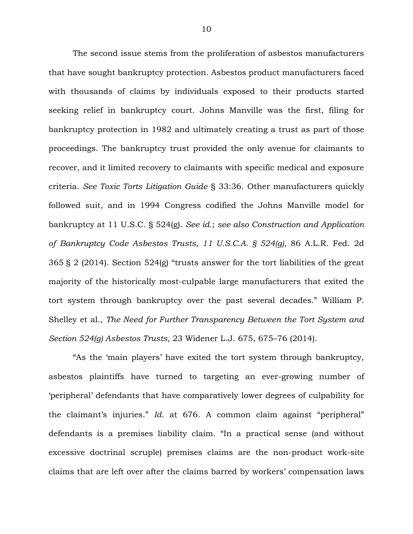The second issue stems from the proliferation of asbestos manufacturers that have sought bankruptcy protection. Asbestos product manufacturers faced with thousands of claims by individuals exposed to their products started seeking relief in bankruptcy court. Johns Manville was the first, filing for bankruptcy protection in 1982 and ultimately creating a trust as part of those proceedings. The bankruptcy trust provided the only avenue for claimants to recover, and it limited recovery to claimants with specific medical and exposure criteria. *See Toxic Torts Litigation Guide* § 33:36. Other manufacturers quickly followed suit, and in 1994 Congress codified the Johns Manville model for bankruptcy at 11 U.S.C. § 524(g). *See id.*; *see also Construction and Application of Bankruptcy Code Asbestos Trusts, 11 U.S.C.A. § 524(g)*, 86 A.L.R. Fed. 2d 365 § 2 (2014). Section 524(g) "trusts answer for the tort liabilities of the great majority of the historically most-culpable large manufacturers that exited the tort system through bankruptcy over the past several decades." William P. Shelley et al., *The Need for Further Transparency Between the Tort System and Section 524(g) Asbestos Trusts*, 23 Widener L.J. 675, 675–76 (2014).

"As the 'main players' have exited the tort system through bankruptcy, asbestos plaintiffs have turned to targeting an ever-growing number of 'peripheral' defendants that have comparatively lower degrees of culpability for the claimant's injuries." *Id.* at 676. A common claim against "peripheral" defendants is a premises liability claim. "In a practical sense (and without excessive doctrinal scruple) premises claims are the non-product work-site claims that are left over after the claims barred by workers' compensation laws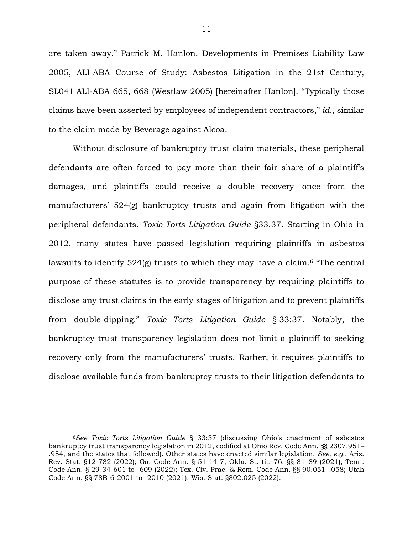are taken away." Patrick M. Hanlon, Developments in Premises Liability Law 2005, ALI-ABA Course of Study: Asbestos Litigation in the 21st Century, SL041 ALI-ABA 665, 668 (Westlaw 2005) [hereinafter Hanlon]. "Typically those claims have been asserted by employees of independent contractors," *id.*, similar to the claim made by Beverage against Alcoa.

Without disclosure of bankruptcy trust claim materials, these peripheral defendants are often forced to pay more than their fair share of a plaintiff's damages, and plaintiffs could receive a double recovery—once from the manufacturers' 524(g) bankruptcy trusts and again from litigation with the peripheral defendants. *Toxic Torts Litigation Guide* §33.37. Starting in Ohio in 2012, many states have passed legislation requiring plaintiffs in asbestos lawsuits to identify 524(g) trusts to which they may have a claim.<sup>6</sup> "The central purpose of these statutes is to provide transparency by requiring plaintiffs to disclose any trust claims in the early stages of litigation and to prevent plaintiffs from double-dipping." *Toxic Torts Litigation Guide* § 33:37. Notably, the bankruptcy trust transparency legislation does not limit a plaintiff to seeking recovery only from the manufacturers' trusts. Rather, it requires plaintiffs to disclose available funds from bankruptcy trusts to their litigation defendants to

<sup>6</sup>*See Toxic Torts Litigation Guide* § 33:37 (discussing Ohio's enactment of asbestos bankruptcy trust transparency legislation in 2012, codified at Ohio Rev. Code Ann. §§ 2307.951– .954, and the states that followed). Other states have enacted similar legislation. *See, e.g.*, Ariz. Rev. Stat. §12-782 (2022); Ga. Code Ann. § 51-14-7; Okla. St. tit. 76, §§ 81–89 (2021); Tenn. Code Ann. § 29-34-601 to -609 (2022); Tex. Civ. Prac. & Rem. Code Ann. §§ 90.051–.058; Utah Code Ann. §§ 78B-6-2001 to -2010 (2021); Wis. Stat. §802.025 (2022).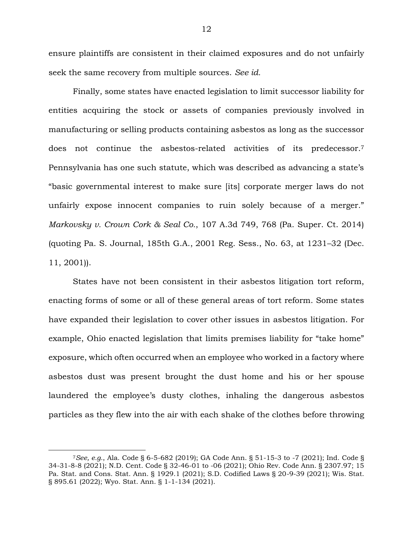ensure plaintiffs are consistent in their claimed exposures and do not unfairly seek the same recovery from multiple sources. *See id.*

Finally, some states have enacted legislation to limit successor liability for entities acquiring the stock or assets of companies previously involved in manufacturing or selling products containing asbestos as long as the successor does not continue the asbestos-related activities of its predecessor.<sup>7</sup> Pennsylvania has one such statute, which was described as advancing a state's "basic governmental interest to make sure [its] corporate merger laws do not unfairly expose innocent companies to ruin solely because of a merger." *Markovsky v. Crown Cork & Seal Co.*, 107 A.3d 749, 768 (Pa. Super. Ct. 2014) (quoting Pa. S. Journal, 185th G.A., 2001 Reg. Sess., No. 63, at 1231–32 (Dec. 11, 2001)).

States have not been consistent in their asbestos litigation tort reform, enacting forms of some or all of these general areas of tort reform. Some states have expanded their legislation to cover other issues in asbestos litigation. For example, Ohio enacted legislation that limits premises liability for "take home" exposure, which often occurred when an employee who worked in a factory where asbestos dust was present brought the dust home and his or her spouse laundered the employee's dusty clothes, inhaling the dangerous asbestos particles as they flew into the air with each shake of the clothes before throwing

<sup>7</sup>*See, e.g.*, Ala. Code § 6-5-682 (2019); GA Code Ann. § 51-15-3 to -7 (2021); Ind. Code § 34-31-8-8 (2021); N.D. Cent. Code § 32-46-01 to -06 (2021); Ohio Rev. Code Ann. § 2307.97; 15 Pa. Stat. and Cons. Stat. Ann. § 1929.1 (2021); S.D. Codified Laws § 20-9-39 (2021); Wis. Stat. § 895.61 (2022); Wyo. Stat. Ann. § 1-1-134 (2021).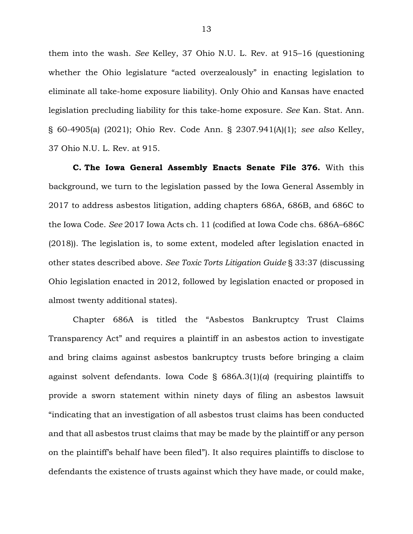them into the wash. *See* Kelley, 37 Ohio N.U. L. Rev. at 915–16 (questioning whether the Ohio legislature "acted overzealously" in enacting legislation to eliminate all take-home exposure liability). Only Ohio and Kansas have enacted legislation precluding liability for this take-home exposure. *See* Kan. Stat. Ann. § 60-4905(a) (2021); Ohio Rev. Code Ann. § 2307.941(A)(1); *see also* Kelley, 37 Ohio N.U. L. Rev. at 915.

**C. The Iowa General Assembly Enacts Senate File 376.** With this background, we turn to the legislation passed by the Iowa General Assembly in 2017 to address asbestos litigation, adding chapters 686A, 686B, and 686C to the Iowa Code. *See* 2017 Iowa Acts ch. 11 (codified at Iowa Code chs. 686A–686C (2018)). The legislation is, to some extent, modeled after legislation enacted in other states described above. *See Toxic Torts Litigation Guide* § 33:37 (discussing Ohio legislation enacted in 2012, followed by legislation enacted or proposed in almost twenty additional states).

Chapter 686A is titled the "Asbestos Bankruptcy Trust Claims Transparency Act" and requires a plaintiff in an asbestos action to investigate and bring claims against asbestos bankruptcy trusts before bringing a claim against solvent defendants. Iowa Code § 686A.3(1)(*a*) (requiring plaintiffs to provide a sworn statement within ninety days of filing an asbestos lawsuit "indicating that an investigation of all asbestos trust claims has been conducted and that all asbestos trust claims that may be made by the plaintiff or any person on the plaintiff's behalf have been filed"). It also requires plaintiffs to disclose to defendants the existence of trusts against which they have made, or could make,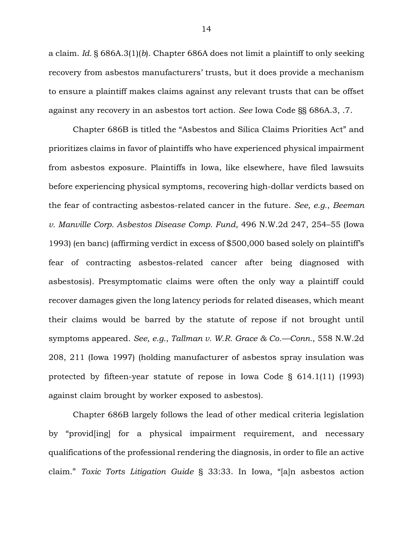a claim. *Id.* § 686A.3(1)(*b*). Chapter 686A does not limit a plaintiff to only seeking recovery from asbestos manufacturers' trusts, but it does provide a mechanism to ensure a plaintiff makes claims against any relevant trusts that can be offset against any recovery in an asbestos tort action. *See* Iowa Code §§ 686A.3, .7.

Chapter 686B is titled the "Asbestos and Silica Claims Priorities Act" and prioritizes claims in favor of plaintiffs who have experienced physical impairment from asbestos exposure. Plaintiffs in Iowa, like elsewhere, have filed lawsuits before experiencing physical symptoms, recovering high-dollar verdicts based on the fear of contracting asbestos-related cancer in the future. *See, e.g.*, *Beeman v. Manville Corp. Asbestos Disease Comp. Fund*, 496 N.W.2d 247, 254–55 (Iowa 1993) (en banc) (affirming verdict in excess of \$500,000 based solely on plaintiff's fear of contracting asbestos-related cancer after being diagnosed with asbestosis). Presymptomatic claims were often the only way a plaintiff could recover damages given the long latency periods for related diseases, which meant their claims would be barred by the statute of repose if not brought until symptoms appeared. *See, e.g.*, *Tallman v. W.R. Grace & Co.—Conn.*, 558 N.W.2d 208, 211 (Iowa 1997) (holding manufacturer of asbestos spray insulation was protected by fifteen-year statute of repose in Iowa Code § 614.1(11) (1993) against claim brought by worker exposed to asbestos).

Chapter 686B largely follows the lead of other medical criteria legislation by "provid[ing] for a physical impairment requirement, and necessary qualifications of the professional rendering the diagnosis, in order to file an active claim." *Toxic Torts Litigation Guide* § 33:33. In Iowa, "[a]n asbestos action

14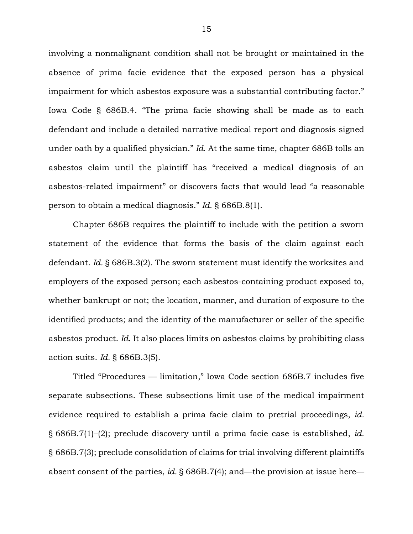involving a nonmalignant condition shall not be brought or maintained in the absence of prima facie evidence that the exposed person has a physical impairment for which asbestos exposure was a substantial contributing factor." Iowa Code § 686B.4. "The prima facie showing shall be made as to each defendant and include a detailed narrative medical report and diagnosis signed under oath by a qualified physician." *Id.* At the same time, chapter 686B tolls an asbestos claim until the plaintiff has "received a medical diagnosis of an asbestos-related impairment" or discovers facts that would lead "a reasonable person to obtain a medical diagnosis." *Id.* § 686B.8(1).

Chapter 686B requires the plaintiff to include with the petition a sworn statement of the evidence that forms the basis of the claim against each defendant. *Id.* § 686B.3(2). The sworn statement must identify the worksites and employers of the exposed person; each asbestos-containing product exposed to, whether bankrupt or not; the location, manner, and duration of exposure to the identified products; and the identity of the manufacturer or seller of the specific asbestos product. *Id.* It also places limits on asbestos claims by prohibiting class action suits. *Id.* § 686B.3(5).

Titled "Procedures — limitation," Iowa Code section 686B.7 includes five separate subsections. These subsections limit use of the medical impairment evidence required to establish a prima facie claim to pretrial proceedings, *id.*  § 686B.7(1)–(2); preclude discovery until a prima facie case is established, *id.*  § 686B.7(3); preclude consolidation of claims for trial involving different plaintiffs absent consent of the parties, *id.* § 686B.7(4); and—the provision at issue here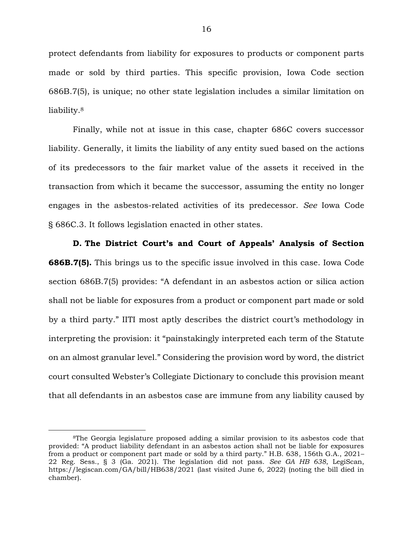protect defendants from liability for exposures to products or component parts made or sold by third parties. This specific provision, Iowa Code section 686B.7(5), is unique; no other state legislation includes a similar limitation on liability.<sup>8</sup>

Finally, while not at issue in this case, chapter 686C covers successor liability. Generally, it limits the liability of any entity sued based on the actions of its predecessors to the fair market value of the assets it received in the transaction from which it became the successor, assuming the entity no longer engages in the asbestos-related activities of its predecessor. *See* Iowa Code § 686C.3. It follows legislation enacted in other states.

**D. The District Court's and Court of Appeals' Analysis of Section 686B.7(5).** This brings us to the specific issue involved in this case. Iowa Code section 686B.7(5) provides: "A defendant in an asbestos action or silica action shall not be liable for exposures from a product or component part made or sold by a third party." IITI most aptly describes the district court's methodology in interpreting the provision: it "painstakingly interpreted each term of the Statute on an almost granular level." Considering the provision word by word, the district court consulted Webster's Collegiate Dictionary to conclude this provision meant that all defendants in an asbestos case are immune from any liability caused by

<sup>8</sup>The Georgia legislature proposed adding a similar provision to its asbestos code that provided: "A product liability defendant in an asbestos action shall not be liable for exposures from a product or component part made or sold by a third party." H.B. 638, 156th G.A., 2021– 22 Reg. Sess., § 3 (Ga. 2021). The legislation did not pass. *See GA HB 638*, LegiScan, https://legiscan.com/GA/bill/HB638/2021 (last visited June 6, 2022) (noting the bill died in chamber).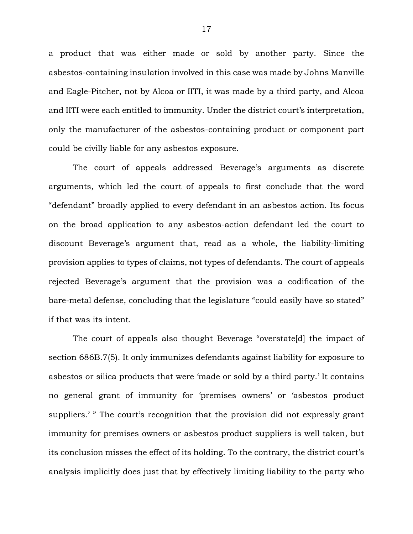a product that was either made or sold by another party. Since the asbestos-containing insulation involved in this case was made by Johns Manville and Eagle-Pitcher, not by Alcoa or IITI, it was made by a third party, and Alcoa and IITI were each entitled to immunity. Under the district court's interpretation, only the manufacturer of the asbestos-containing product or component part could be civilly liable for any asbestos exposure.

The court of appeals addressed Beverage's arguments as discrete arguments, which led the court of appeals to first conclude that the word "defendant" broadly applied to every defendant in an asbestos action. Its focus on the broad application to any asbestos-action defendant led the court to discount Beverage's argument that, read as a whole, the liability-limiting provision applies to types of claims, not types of defendants. The court of appeals rejected Beverage's argument that the provision was a codification of the bare-metal defense, concluding that the legislature "could easily have so stated" if that was its intent.

The court of appeals also thought Beverage "overstate[d] the impact of section 686B.7(5). It only immunizes defendants against liability for exposure to asbestos or silica products that were 'made or sold by a third party.' It contains no general grant of immunity for 'premises owners' or 'asbestos product suppliers.' " The court's recognition that the provision did not expressly grant immunity for premises owners or asbestos product suppliers is well taken, but its conclusion misses the effect of its holding. To the contrary, the district court's analysis implicitly does just that by effectively limiting liability to the party who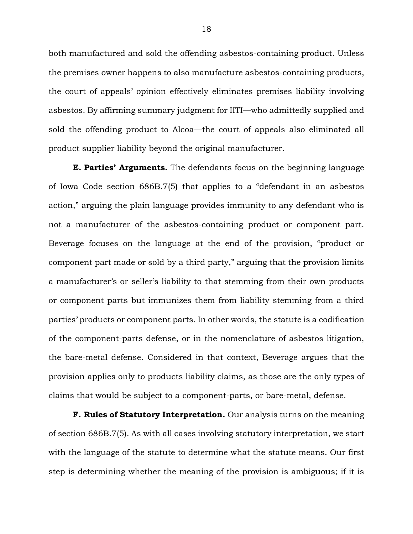both manufactured and sold the offending asbestos-containing product. Unless the premises owner happens to also manufacture asbestos-containing products, the court of appeals' opinion effectively eliminates premises liability involving asbestos. By affirming summary judgment for IITI—who admittedly supplied and sold the offending product to Alcoa—the court of appeals also eliminated all product supplier liability beyond the original manufacturer.

**E. Parties' Arguments.** The defendants focus on the beginning language of Iowa Code section 686B.7(5) that applies to a "defendant in an asbestos action," arguing the plain language provides immunity to any defendant who is not a manufacturer of the asbestos-containing product or component part. Beverage focuses on the language at the end of the provision, "product or component part made or sold by a third party," arguing that the provision limits a manufacturer's or seller's liability to that stemming from their own products or component parts but immunizes them from liability stemming from a third parties' products or component parts. In other words, the statute is a codification of the component-parts defense, or in the nomenclature of asbestos litigation, the bare-metal defense. Considered in that context, Beverage argues that the provision applies only to products liability claims, as those are the only types of claims that would be subject to a component-parts, or bare-metal, defense.

**F. Rules of Statutory Interpretation.** Our analysis turns on the meaning of section 686B.7(5). As with all cases involving statutory interpretation, we start with the language of the statute to determine what the statute means. Our first step is determining whether the meaning of the provision is ambiguous; if it is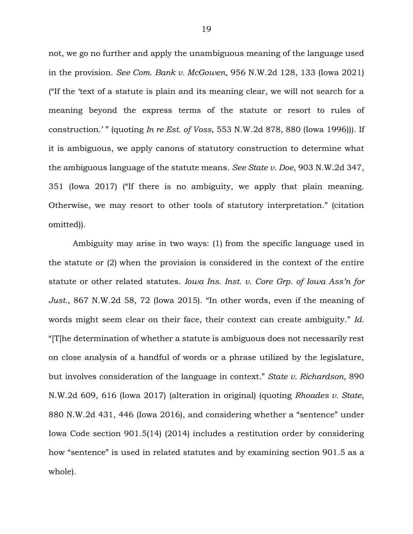not, we go no further and apply the unambiguous meaning of the language used in the provision. *See Com. Bank v. McGowen*, 956 N.W.2d 128, 133 (Iowa 2021) ("If the 'text of a statute is plain and its meaning clear, we will not search for a meaning beyond the express terms of the statute or resort to rules of construction.' " (quoting *In re Est. of Voss*, 553 N.W.2d 878, 880 (Iowa 1996))). If it is ambiguous, we apply canons of statutory construction to determine what the ambiguous language of the statute means. *See State v. Doe*, 903 N.W.2d 347, 351 (Iowa 2017) ("If there is no ambiguity, we apply that plain meaning. Otherwise, we may resort to other tools of statutory interpretation." (citation omitted)).

Ambiguity may arise in two ways: (1) from the specific language used in the statute or (2) when the provision is considered in the context of the entire statute or other related statutes. *Iowa Ins. Inst. v. Core Grp. of Iowa Ass'n for Just.*, 867 N.W.2d 58, 72 (Iowa 2015). "In other words, even if the meaning of words might seem clear on their face, their context can create ambiguity." *Id.* "[T]he determination of whether a statute is ambiguous does not necessarily rest on close analysis of a handful of words or a phrase utilized by the legislature, but involves consideration of the language in context." *State v. Richardson*, 890 N.W.2d 609, 616 (Iowa 2017) (alteration in original) (quoting *Rhoades v. State*, 880 N.W.2d 431, 446 (Iowa 2016), and considering whether a "sentence" under Iowa Code section 901.5(14) (2014) includes a restitution order by considering how "sentence" is used in related statutes and by examining section 901.5 as a whole).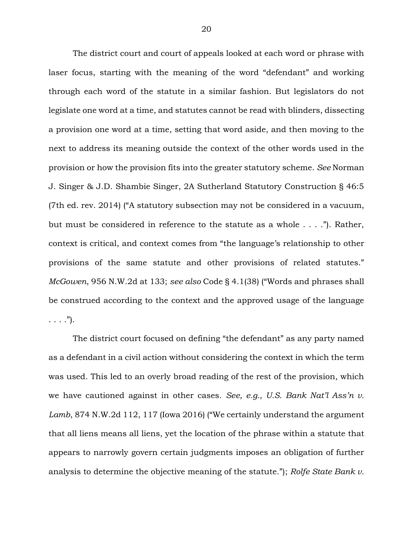The district court and court of appeals looked at each word or phrase with laser focus, starting with the meaning of the word "defendant" and working through each word of the statute in a similar fashion. But legislators do not legislate one word at a time, and statutes cannot be read with blinders, dissecting a provision one word at a time, setting that word aside, and then moving to the next to address its meaning outside the context of the other words used in the provision or how the provision fits into the greater statutory scheme. *See* Norman J. Singer & J.D. Shambie Singer, 2A Sutherland Statutory Construction § 46:5 (7th ed. rev. 2014) ("A statutory subsection may not be considered in a vacuum, but must be considered in reference to the statute as a whole . . . ."). Rather, context is critical, and context comes from "the language's relationship to other provisions of the same statute and other provisions of related statutes." *McGowen*, 956 N.W.2d at 133; *see also* Code § 4.1(38) ("Words and phrases shall be construed according to the context and the approved usage of the language  $\ldots$  .").

The district court focused on defining "the defendant" as any party named as a defendant in a civil action without considering the context in which the term was used. This led to an overly broad reading of the rest of the provision, which we have cautioned against in other cases. *See, e.g.*, *U.S. Bank Nat'l Ass'n v. Lamb*, 874 N.W.2d 112, 117 (Iowa 2016) ("We certainly understand the argument that all liens means all liens, yet the location of the phrase within a statute that appears to narrowly govern certain judgments imposes an obligation of further analysis to determine the objective meaning of the statute."); *Rolfe State Bank v.*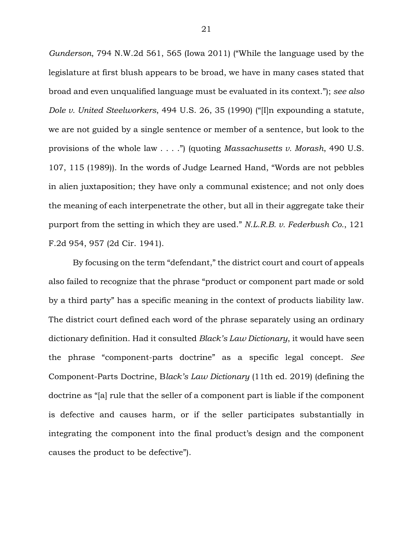*Gunderson*, 794 N.W.2d 561, 565 (Iowa 2011) ("While the language used by the legislature at first blush appears to be broad, we have in many cases stated that broad and even unqualified language must be evaluated in its context."); *see also Dole v. United Steelworkers*, 494 U.S. 26, 35 (1990) ("[I]n expounding a statute, we are not guided by a single sentence or member of a sentence, but look to the provisions of the whole law . . . .") (quoting *Massachusetts v. Morash*, 490 U.S. 107, 115 (1989)). In the words of Judge Learned Hand, "Words are not pebbles in alien juxtaposition; they have only a communal existence; and not only does the meaning of each interpenetrate the other, but all in their aggregate take their purport from the setting in which they are used." *N.L.R.B. v. Federbush Co.*, 121 F.2d 954, 957 (2d Cir. 1941).

By focusing on the term "defendant," the district court and court of appeals also failed to recognize that the phrase "product or component part made or sold by a third party" has a specific meaning in the context of products liability law. The district court defined each word of the phrase separately using an ordinary dictionary definition. Had it consulted *Black's Law Dictionary*, it would have seen the phrase "component-parts doctrine" as a specific legal concept. *See* Component-Parts Doctrine, B*lack's Law Dictionary* (11th ed. 2019) (defining the doctrine as "[a] rule that the seller of a component part is liable if the component is defective and causes harm, or if the seller participates substantially in integrating the component into the final product's design and the component causes the product to be defective").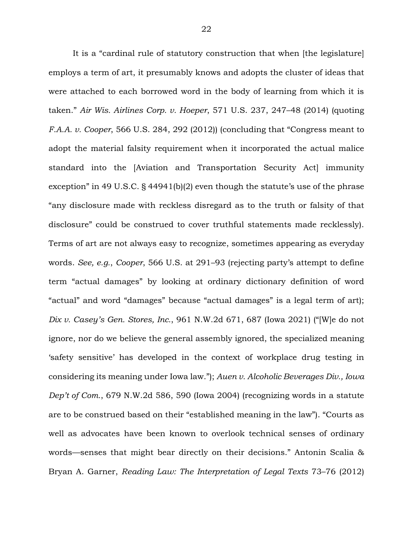It is a "cardinal rule of statutory construction that when [the legislature] employs a term of art, it presumably knows and adopts the cluster of ideas that were attached to each borrowed word in the body of learning from which it is taken." *Air Wis. Airlines Corp. v. Hoeper*, 571 U.S. 237, 247–48 (2014) (quoting *F.A.A. v. Cooper*, 566 U.S. 284, 292 (2012)) (concluding that "Congress meant to adopt the material falsity requirement when it incorporated the actual malice standard into the [Aviation and Transportation Security Act] immunity exception" in 49 U.S.C. § 44941(b)(2) even though the statute's use of the phrase "any disclosure made with reckless disregard as to the truth or falsity of that disclosure" could be construed to cover truthful statements made recklessly). Terms of art are not always easy to recognize, sometimes appearing as everyday words. *See, e.g.*, *Cooper*, 566 U.S. at 291–93 (rejecting party's attempt to define term "actual damages" by looking at ordinary dictionary definition of word "actual" and word "damages" because "actual damages" is a legal term of art); *Dix v. Casey's Gen. Stores, Inc.*, 961 N.W.2d 671, 687 (Iowa 2021) ("[W]e do not ignore, nor do we believe the general assembly ignored, the specialized meaning 'safety sensitive' has developed in the context of workplace drug testing in considering its meaning under Iowa law."); *Auen v. Alcoholic Beverages Div., Iowa Dep't of Com.*, 679 N.W.2d 586, 590 (Iowa 2004) (recognizing words in a statute are to be construed based on their "established meaning in the law"). "Courts as well as advocates have been known to overlook technical senses of ordinary words—senses that might bear directly on their decisions." Antonin Scalia & Bryan A. Garner, *Reading Law: The Interpretation of Legal Texts* 73–76 (2012)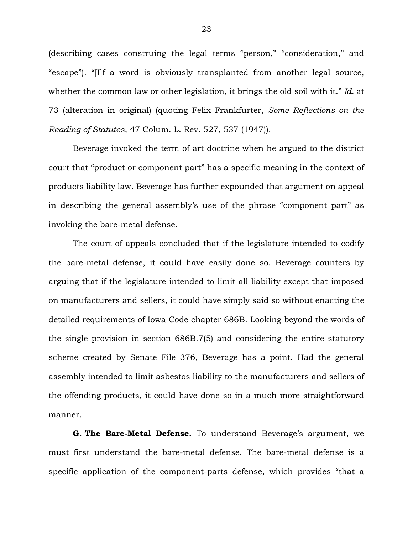(describing cases construing the legal terms "person," "consideration," and "escape"). "[I]f a word is obviously transplanted from another legal source, whether the common law or other legislation, it brings the old soil with it." *Id.* at 73 (alteration in original) (quoting Felix Frankfurter, *Some Reflections on the Reading of Statutes*, 47 Colum. L. Rev. 527, 537 (1947)).

Beverage invoked the term of art doctrine when he argued to the district court that "product or component part" has a specific meaning in the context of products liability law. Beverage has further expounded that argument on appeal in describing the general assembly's use of the phrase "component part" as invoking the bare-metal defense.

The court of appeals concluded that if the legislature intended to codify the bare-metal defense, it could have easily done so. Beverage counters by arguing that if the legislature intended to limit all liability except that imposed on manufacturers and sellers, it could have simply said so without enacting the detailed requirements of Iowa Code chapter 686B. Looking beyond the words of the single provision in section 686B.7(5) and considering the entire statutory scheme created by Senate File 376, Beverage has a point. Had the general assembly intended to limit asbestos liability to the manufacturers and sellers of the offending products, it could have done so in a much more straightforward manner.

**G. The Bare-Metal Defense.** To understand Beverage's argument, we must first understand the bare-metal defense. The bare-metal defense is a specific application of the component-parts defense, which provides "that a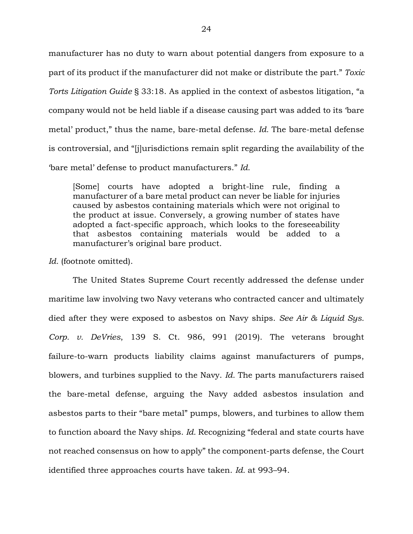manufacturer has no duty to warn about potential dangers from exposure to a part of its product if the manufacturer did not make or distribute the part." *Toxic Torts Litigation Guide* § 33:18. As applied in the context of asbestos litigation, "a company would not be held liable if a disease causing part was added to its 'bare metal' product," thus the name, bare-metal defense. *Id.* The bare-metal defense is controversial, and "[j]urisdictions remain split regarding the availability of the 'bare metal' defense to product manufacturers." *Id.*

[Some] courts have adopted a bright-line rule, finding a manufacturer of a bare metal product can never be liable for injuries caused by asbestos containing materials which were not original to the product at issue. Conversely, a growing number of states have adopted a fact-specific approach, which looks to the foreseeability that asbestos containing materials would be added to a manufacturer's original bare product.

*Id.* (footnote omitted).

The United States Supreme Court recently addressed the defense under maritime law involving two Navy veterans who contracted cancer and ultimately died after they were exposed to asbestos on Navy ships. *See Air & Liquid Sys. Corp. v. DeVries*, 139 S. Ct. 986, 991 (2019). The veterans brought failure-to-warn products liability claims against manufacturers of pumps, blowers, and turbines supplied to the Navy. *Id.* The parts manufacturers raised the bare-metal defense, arguing the Navy added asbestos insulation and asbestos parts to their "bare metal" pumps, blowers, and turbines to allow them to function aboard the Navy ships. *Id.* Recognizing "federal and state courts have not reached consensus on how to apply" the component-parts defense, the Court identified three approaches courts have taken. *Id.* at 993–94.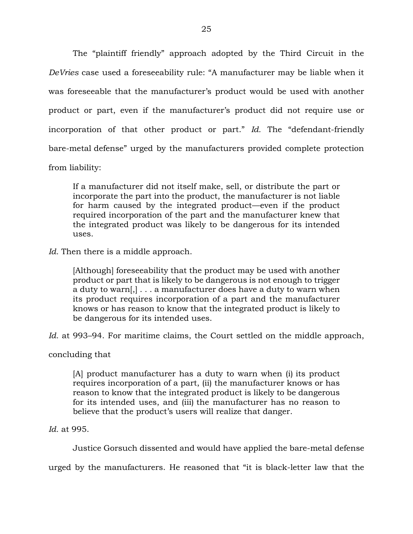The "plaintiff friendly" approach adopted by the Third Circuit in the *DeVries* case used a foreseeability rule: "A manufacturer may be liable when it was foreseeable that the manufacturer's product would be used with another product or part, even if the manufacturer's product did not require use or incorporation of that other product or part." *Id.* The "defendant-friendly bare-metal defense" urged by the manufacturers provided complete protection from liability:

If a manufacturer did not itself make, sell, or distribute the part or incorporate the part into the product, the manufacturer is not liable for harm caused by the integrated product—even if the product required incorporation of the part and the manufacturer knew that the integrated product was likely to be dangerous for its intended uses.

*Id.* Then there is a middle approach.

[Although] foreseeability that the product may be used with another product or part that is likely to be dangerous is not enough to trigger a duty to warn[,] . . . a manufacturer does have a duty to warn when its product requires incorporation of a part and the manufacturer knows or has reason to know that the integrated product is likely to be dangerous for its intended uses.

*Id.* at 993–94. For maritime claims, the Court settled on the middle approach,

concluding that

[A] product manufacturer has a duty to warn when (i) its product requires incorporation of a part, (ii) the manufacturer knows or has reason to know that the integrated product is likely to be dangerous for its intended uses, and (iii) the manufacturer has no reason to believe that the product's users will realize that danger.

*Id.* at 995.

Justice Gorsuch dissented and would have applied the bare-metal defense

urged by the manufacturers. He reasoned that "it is black-letter law that the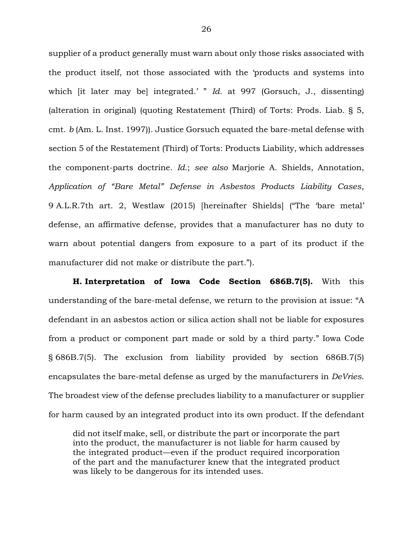supplier of a product generally must warn about only those risks associated with the product itself, not those associated with the 'products and systems into which *it later may bel integrated.' " Id. at 997 (Gorsuch, J., dissenting)* (alteration in original) (quoting Restatement (Third) of Torts: Prods. Liab. § 5, cmt. *b* (Am. L. Inst. 1997)). Justice Gorsuch equated the bare-metal defense with section 5 of the Restatement (Third) of Torts: Products Liability, which addresses the component-parts doctrine. *Id.*; *see also* Marjorie A. Shields, Annotation, *Application of "Bare Metal" Defense in Asbestos Products Liability Cases*, 9 A.L.R.7th art. 2, Westlaw (2015) [hereinafter Shields] ("The 'bare metal' defense, an affirmative defense, provides that a manufacturer has no duty to warn about potential dangers from exposure to a part of its product if the manufacturer did not make or distribute the part.").

**H. Interpretation of Iowa Code Section 686B.7(5).** With this understanding of the bare-metal defense, we return to the provision at issue: "A defendant in an asbestos action or silica action shall not be liable for exposures from a product or component part made or sold by a third party." Iowa Code § 686B.7(5). The exclusion from liability provided by section 686B.7(5) encapsulates the bare-metal defense as urged by the manufacturers in *DeVries*. The broadest view of the defense precludes liability to a manufacturer or supplier for harm caused by an integrated product into its own product. If the defendant

did not itself make, sell, or distribute the part or incorporate the part into the product, the manufacturer is not liable for harm caused by the integrated product—even if the product required incorporation of the part and the manufacturer knew that the integrated product was likely to be dangerous for its intended uses.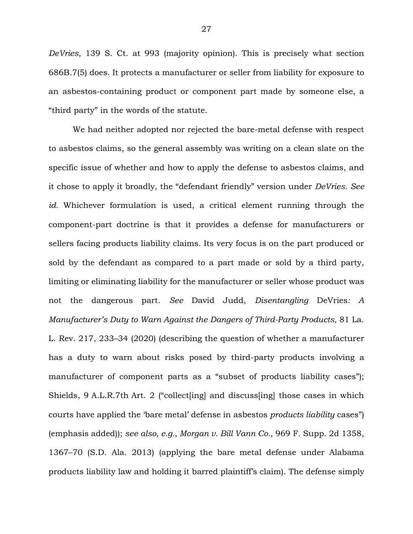*DeVries*, 139 S. Ct. at 993 (majority opinion). This is precisely what section 686B.7(5) does. It protects a manufacturer or seller from liability for exposure to an asbestos-containing product or component part made by someone else, a "third party" in the words of the statute.

We had neither adopted nor rejected the bare-metal defense with respect to asbestos claims, so the general assembly was writing on a clean slate on the specific issue of whether and how to apply the defense to asbestos claims, and it chose to apply it broadly, the "defendant friendly" version under *DeVries*. *See id.* Whichever formulation is used, a critical element running through the component-part doctrine is that it provides a defense for manufacturers or sellers facing products liability claims. Its very focus is on the part produced or sold by the defendant as compared to a part made or sold by a third party, limiting or eliminating liability for the manufacturer or seller whose product was not the dangerous part. *See* David Judd, *Disentangling* DeVries*: A Manufacturer's Duty to Warn Against the Dangers of Third-Party Products*, 81 La. L. Rev. 217, 233–34 (2020) (describing the question of whether a manufacturer has a duty to warn about risks posed by third-party products involving a manufacturer of component parts as a "subset of products liability cases"); Shields, 9 A.L.R.7th Art. 2 ("collect[ing] and discuss[ing] those cases in which courts have applied the 'bare metal' defense in asbestos *products liability* cases") (emphasis added)); *see also, e.g.*, *Morgan v. Bill Vann Co.*, 969 F. Supp. 2d 1358, 1367–70 (S.D. Ala. 2013) (applying the bare metal defense under Alabama products liability law and holding it barred plaintiff's claim). The defense simply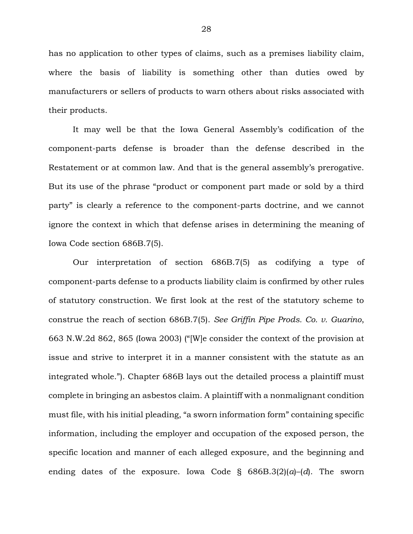has no application to other types of claims, such as a premises liability claim, where the basis of liability is something other than duties owed by manufacturers or sellers of products to warn others about risks associated with their products.

It may well be that the Iowa General Assembly's codification of the component-parts defense is broader than the defense described in the Restatement or at common law. And that is the general assembly's prerogative. But its use of the phrase "product or component part made or sold by a third party" is clearly a reference to the component-parts doctrine, and we cannot ignore the context in which that defense arises in determining the meaning of Iowa Code section 686B.7(5).

Our interpretation of section 686B.7(5) as codifying a type of component-parts defense to a products liability claim is confirmed by other rules of statutory construction. We first look at the rest of the statutory scheme to construe the reach of section 686B.7(5). *See Griffin Pipe Prods. Co. v. Guarino*, 663 N.W.2d 862, 865 (Iowa 2003) ("[W]e consider the context of the provision at issue and strive to interpret it in a manner consistent with the statute as an integrated whole."). Chapter 686B lays out the detailed process a plaintiff must complete in bringing an asbestos claim. A plaintiff with a nonmalignant condition must file, with his initial pleading, "a sworn information form" containing specific information, including the employer and occupation of the exposed person, the specific location and manner of each alleged exposure, and the beginning and ending dates of the exposure. Iowa Code § 686B.3(2)(*a*)–(*d*). The sworn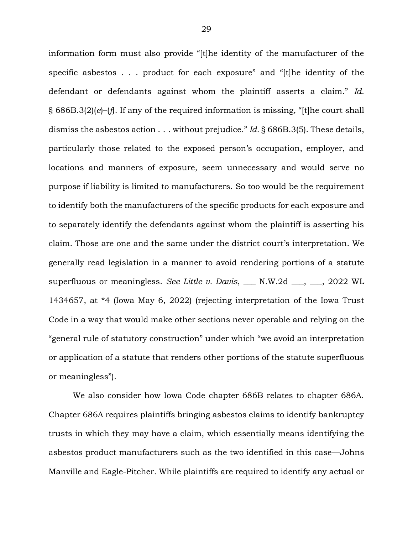information form must also provide "[t]he identity of the manufacturer of the specific asbestos . . . product for each exposure" and "[t]he identity of the defendant or defendants against whom the plaintiff asserts a claim." *Id.* § 686B.3(2)(*e*)–(*f*). If any of the required information is missing, "[t]he court shall dismiss the asbestos action . . . without prejudice." *Id.* § 686B.3(5). These details, particularly those related to the exposed person's occupation, employer, and locations and manners of exposure, seem unnecessary and would serve no purpose if liability is limited to manufacturers. So too would be the requirement to identify both the manufacturers of the specific products for each exposure and to separately identify the defendants against whom the plaintiff is asserting his claim. Those are one and the same under the district court's interpretation. We generally read legislation in a manner to avoid rendering portions of a statute superfluous or meaningless. *See Little v. Davis*, \_\_\_ N.W.2d \_\_\_, \_\_\_, 2022 WL 1434657, at \*4 (Iowa May 6, 2022) (rejecting interpretation of the Iowa Trust Code in a way that would make other sections never operable and relying on the "general rule of statutory construction" under which "we avoid an interpretation or application of a statute that renders other portions of the statute superfluous or meaningless").

We also consider how Iowa Code chapter 686B relates to chapter 686A. Chapter 686A requires plaintiffs bringing asbestos claims to identify bankruptcy trusts in which they may have a claim, which essentially means identifying the asbestos product manufacturers such as the two identified in this case—Johns Manville and Eagle-Pitcher. While plaintiffs are required to identify any actual or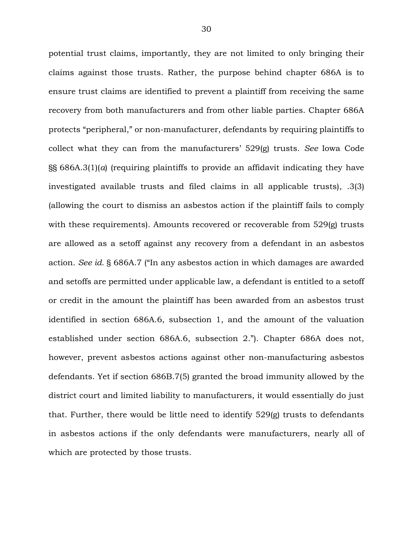potential trust claims, importantly, they are not limited to only bringing their claims against those trusts. Rather, the purpose behind chapter 686A is to ensure trust claims are identified to prevent a plaintiff from receiving the same recovery from both manufacturers and from other liable parties. Chapter 686A protects "peripheral," or non-manufacturer, defendants by requiring plaintiffs to collect what they can from the manufacturers' 529(g) trusts. *See* Iowa Code §§ 686A.3(1)(*a*) (requiring plaintiffs to provide an affidavit indicating they have investigated available trusts and filed claims in all applicable trusts), .3(3) (allowing the court to dismiss an asbestos action if the plaintiff fails to comply with these requirements). Amounts recovered or recoverable from 529(g) trusts are allowed as a setoff against any recovery from a defendant in an asbestos action. *See id.* § 686A.7 ("In any asbestos action in which damages are awarded and setoffs are permitted under applicable law, a defendant is entitled to a setoff or credit in the amount the plaintiff has been awarded from an asbestos trust identified in section 686A.6, subsection 1, and the amount of the valuation established under section 686A.6, subsection 2."). Chapter 686A does not, however, prevent asbestos actions against other non-manufacturing asbestos defendants. Yet if section 686B.7(5) granted the broad immunity allowed by the district court and limited liability to manufacturers, it would essentially do just that. Further, there would be little need to identify 529(g) trusts to defendants in asbestos actions if the only defendants were manufacturers, nearly all of which are protected by those trusts.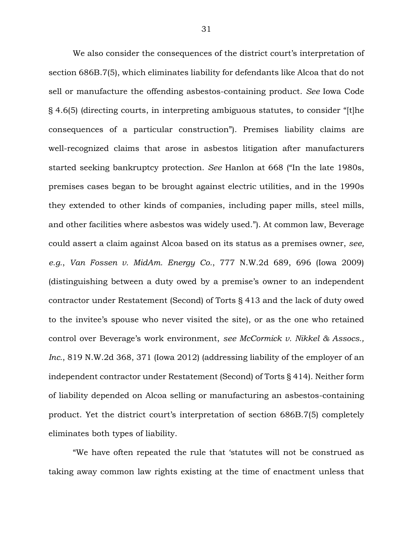We also consider the consequences of the district court's interpretation of section 686B.7(5), which eliminates liability for defendants like Alcoa that do not sell or manufacture the offending asbestos-containing product. *See* Iowa Code § 4.6(5) (directing courts, in interpreting ambiguous statutes, to consider "[t]he consequences of a particular construction"). Premises liability claims are well-recognized claims that arose in asbestos litigation after manufacturers started seeking bankruptcy protection. *See* Hanlon at 668 ("In the late 1980s, premises cases began to be brought against electric utilities, and in the 1990s they extended to other kinds of companies, including paper mills, steel mills, and other facilities where asbestos was widely used."). At common law, Beverage could assert a claim against Alcoa based on its status as a premises owner, *see, e.g.*, *Van Fossen v. MidAm. Energy Co.*, 777 N.W.2d 689, 696 (Iowa 2009) (distinguishing between a duty owed by a premise's owner to an independent contractor under Restatement (Second) of Torts § 413 and the lack of duty owed to the invitee's spouse who never visited the site), or as the one who retained control over Beverage's work environment, *see McCormick v. Nikkel & Assocs., Inc.*, 819 N.W.2d 368, 371 (Iowa 2012) (addressing liability of the employer of an independent contractor under Restatement (Second) of Torts § 414). Neither form of liability depended on Alcoa selling or manufacturing an asbestos-containing product. Yet the district court's interpretation of section 686B.7(5) completely eliminates both types of liability.

"We have often repeated the rule that 'statutes will not be construed as taking away common law rights existing at the time of enactment unless that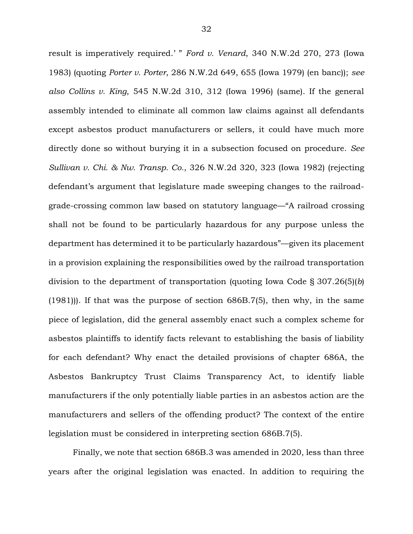result is imperatively required.' " *Ford v. Venard*, 340 N.W.2d 270, 273 (Iowa 1983) (quoting *Porter v. Porter*, 286 N.W.2d 649, 655 (Iowa 1979) (en banc)); *see also Collins v. King*, 545 N.W.2d 310, 312 (Iowa 1996) (same). If the general assembly intended to eliminate all common law claims against all defendants except asbestos product manufacturers or sellers, it could have much more directly done so without burying it in a subsection focused on procedure. *See Sullivan v. Chi. & Nw. Transp. Co.*, 326 N.W.2d 320, 323 (Iowa 1982) (rejecting defendant's argument that legislature made sweeping changes to the railroadgrade-crossing common law based on statutory language—"A railroad crossing shall not be found to be particularly hazardous for any purpose unless the department has determined it to be particularly hazardous"—given its placement in a provision explaining the responsibilities owed by the railroad transportation division to the department of transportation (quoting Iowa Code § 307.26(5)(*b*) (1981))). If that was the purpose of section 686B.7(5), then why, in the same piece of legislation, did the general assembly enact such a complex scheme for asbestos plaintiffs to identify facts relevant to establishing the basis of liability for each defendant? Why enact the detailed provisions of chapter 686A, the Asbestos Bankruptcy Trust Claims Transparency Act, to identify liable manufacturers if the only potentially liable parties in an asbestos action are the manufacturers and sellers of the offending product? The context of the entire legislation must be considered in interpreting section 686B.7(5).

Finally, we note that section 686B.3 was amended in 2020, less than three years after the original legislation was enacted. In addition to requiring the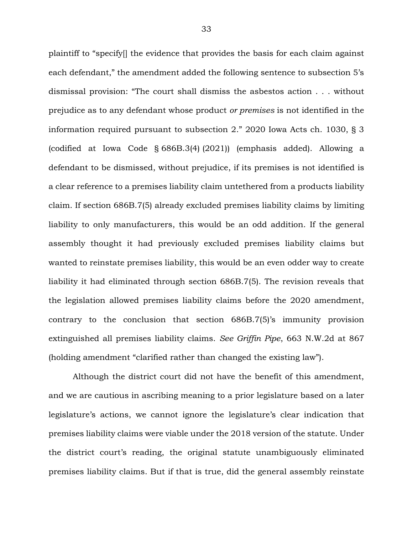plaintiff to "specify[] the evidence that provides the basis for each claim against each defendant," the amendment added the following sentence to subsection 5's dismissal provision: "The court shall dismiss the asbestos action . . . without prejudice as to any defendant whose product *or premises* is not identified in the information required pursuant to subsection 2." 2020 Iowa Acts ch. 1030, § 3 (codified at Iowa Code § 686B.3(4) (2021)) (emphasis added). Allowing a defendant to be dismissed, without prejudice, if its premises is not identified is a clear reference to a premises liability claim untethered from a products liability claim. If section 686B.7(5) already excluded premises liability claims by limiting liability to only manufacturers, this would be an odd addition. If the general assembly thought it had previously excluded premises liability claims but wanted to reinstate premises liability, this would be an even odder way to create liability it had eliminated through section 686B.7(5). The revision reveals that the legislation allowed premises liability claims before the 2020 amendment, contrary to the conclusion that section 686B.7(5)'s immunity provision extinguished all premises liability claims. *See Griffin Pipe*, 663 N.W.2d at 867 (holding amendment "clarified rather than changed the existing law").

Although the district court did not have the benefit of this amendment, and we are cautious in ascribing meaning to a prior legislature based on a later legislature's actions, we cannot ignore the legislature's clear indication that premises liability claims were viable under the 2018 version of the statute. Under the district court's reading, the original statute unambiguously eliminated premises liability claims. But if that is true, did the general assembly reinstate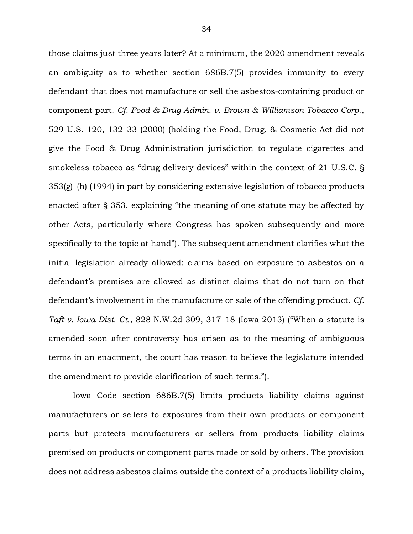those claims just three years later? At a minimum, the 2020 amendment reveals an ambiguity as to whether section 686B.7(5) provides immunity to every defendant that does not manufacture or sell the asbestos-containing product or component part. *Cf. Food & Drug Admin. v. Brown & Williamson Tobacco Corp.*, 529 U.S. 120, 132–33 (2000) (holding the Food, Drug, & Cosmetic Act did not give the Food & Drug Administration jurisdiction to regulate cigarettes and smokeless tobacco as "drug delivery devices" within the context of 21 U.S.C. § 353(g)–(h) (1994) in part by considering extensive legislation of tobacco products enacted after § 353, explaining "the meaning of one statute may be affected by other Acts, particularly where Congress has spoken subsequently and more specifically to the topic at hand"). The subsequent amendment clarifies what the initial legislation already allowed: claims based on exposure to asbestos on a defendant's premises are allowed as distinct claims that do not turn on that defendant's involvement in the manufacture or sale of the offending product. *Cf. Taft v. Iowa Dist. Ct.*, 828 N.W.2d 309, 317–18 (Iowa 2013) ("When a statute is amended soon after controversy has arisen as to the meaning of ambiguous terms in an enactment, the court has reason to believe the legislature intended the amendment to provide clarification of such terms.").

Iowa Code section 686B.7(5) limits products liability claims against manufacturers or sellers to exposures from their own products or component parts but protects manufacturers or sellers from products liability claims premised on products or component parts made or sold by others. The provision does not address asbestos claims outside the context of a products liability claim,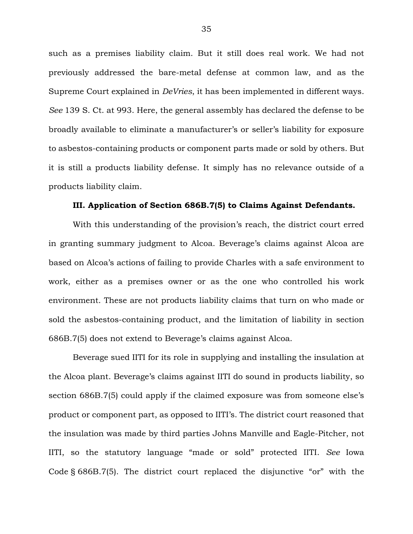such as a premises liability claim. But it still does real work. We had not previously addressed the bare-metal defense at common law, and as the Supreme Court explained in *DeVries*, it has been implemented in different ways. *See* 139 S. Ct. at 993. Here, the general assembly has declared the defense to be broadly available to eliminate a manufacturer's or seller's liability for exposure to asbestos-containing products or component parts made or sold by others. But it is still a products liability defense. It simply has no relevance outside of a products liability claim.

## **III. Application of Section 686B.7(5) to Claims Against Defendants.**

With this understanding of the provision's reach, the district court erred in granting summary judgment to Alcoa. Beverage's claims against Alcoa are based on Alcoa's actions of failing to provide Charles with a safe environment to work, either as a premises owner or as the one who controlled his work environment. These are not products liability claims that turn on who made or sold the asbestos-containing product, and the limitation of liability in section 686B.7(5) does not extend to Beverage's claims against Alcoa.

Beverage sued IITI for its role in supplying and installing the insulation at the Alcoa plant. Beverage's claims against IITI do sound in products liability, so section 686B.7(5) could apply if the claimed exposure was from someone else's product or component part, as opposed to IITI's. The district court reasoned that the insulation was made by third parties Johns Manville and Eagle-Pitcher, not IITI, so the statutory language "made or sold" protected IITI. *See* Iowa Code § 686B.7(5). The district court replaced the disjunctive "or" with the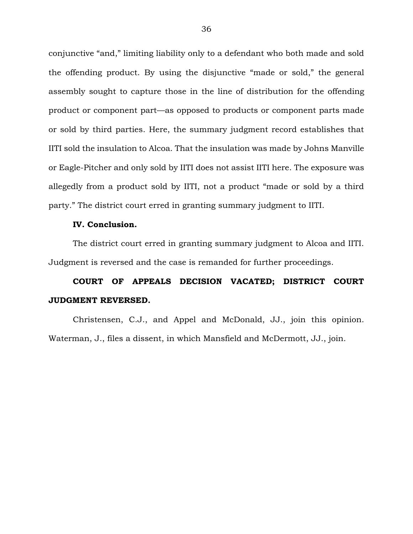conjunctive "and," limiting liability only to a defendant who both made and sold the offending product. By using the disjunctive "made or sold," the general assembly sought to capture those in the line of distribution for the offending product or component part—as opposed to products or component parts made or sold by third parties. Here, the summary judgment record establishes that IITI sold the insulation to Alcoa. That the insulation was made by Johns Manville or Eagle-Pitcher and only sold by IITI does not assist IITI here. The exposure was allegedly from a product sold by IITI, not a product "made or sold by a third party." The district court erred in granting summary judgment to IITI.

#### **IV. Conclusion.**

The district court erred in granting summary judgment to Alcoa and IITI. Judgment is reversed and the case is remanded for further proceedings.

# **COURT OF APPEALS DECISION VACATED; DISTRICT COURT JUDGMENT REVERSED.**

Christensen, C.J., and Appel and McDonald, JJ., join this opinion. Waterman, J., files a dissent, in which Mansfield and McDermott, JJ., join.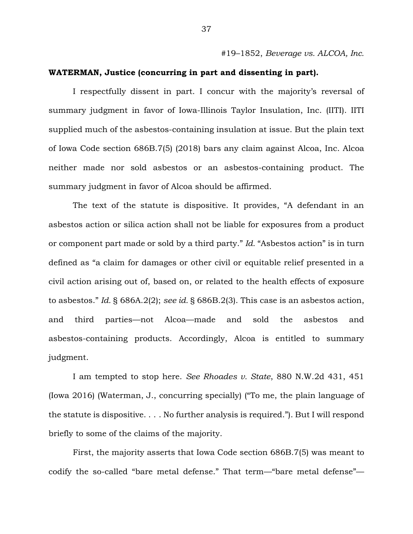#19–1852, *Beverage vs. ALCOA, Inc.*

## **WATERMAN, Justice (concurring in part and dissenting in part).**

I respectfully dissent in part. I concur with the majority's reversal of summary judgment in favor of Iowa-Illinois Taylor Insulation, Inc. (IITI). IITI supplied much of the asbestos-containing insulation at issue. But the plain text of Iowa Code section 686B.7(5) (2018) bars any claim against Alcoa, Inc. Alcoa neither made nor sold asbestos or an asbestos-containing product. The summary judgment in favor of Alcoa should be affirmed.

The text of the statute is dispositive. It provides, "A defendant in an asbestos action or silica action shall not be liable for exposures from a product or component part made or sold by a third party." *Id.* "Asbestos action" is in turn defined as "a claim for damages or other civil or equitable relief presented in a civil action arising out of, based on, or related to the health effects of exposure to asbestos." *Id.* § 686A.2(2); *see id.* § 686B.2(3). This case is an asbestos action, and third parties—not Alcoa—made and sold the asbestos and asbestos-containing products. Accordingly, Alcoa is entitled to summary judgment.

I am tempted to stop here. *See Rhoades v. State*, 880 N.W.2d 431, 451 (Iowa 2016) (Waterman, J., concurring specially) ("To me, the plain language of the statute is dispositive. . . . No further analysis is required."). But I will respond briefly to some of the claims of the majority.

First, the majority asserts that Iowa Code section 686B.7(5) was meant to codify the so-called "bare metal defense." That term—"bare metal defense"—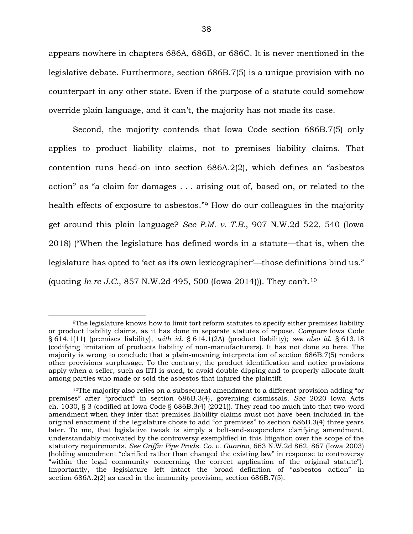appears nowhere in chapters 686A, 686B, or 686C. It is never mentioned in the legislative debate. Furthermore, section 686B.7(5) is a unique provision with no counterpart in any other state. Even if the purpose of a statute could somehow override plain language, and it can't, the majority has not made its case.

Second, the majority contends that Iowa Code section 686B.7(5) only applies to product liability claims, not to premises liability claims. That contention runs head-on into section 686A.2(2), which defines an "asbestos action" as "a claim for damages . . . arising out of, based on, or related to the health effects of exposure to asbestos."<sup>9</sup> How do our colleagues in the majority get around this plain language? *See P.M. v. T.B.*, 907 N.W.2d 522, 540 (Iowa 2018) ("When the legislature has defined words in a statute—that is, when the legislature has opted to 'act as its own lexicographer'—those definitions bind us." (quoting *In re J.C.*, 857 N.W.2d 495, 500 (Iowa 2014))). They can't.<sup>10</sup>

<sup>9</sup>The legislature knows how to limit tort reform statutes to specify either premises liability or product liability claims, as it has done in separate statutes of repose. *Compare* Iowa Code § 614.1(11) (premises liability), *with id.* § 614.1(2A) (product liability); *see also id.* § 613.18 (codifying limitation of products liability of non-manufacturers). It has not done so here. The majority is wrong to conclude that a plain-meaning interpretation of section 686B.7(5) renders other provisions surplusage. To the contrary, the product identification and notice provisions apply when a seller, such as IITI is sued, to avoid double-dipping and to properly allocate fault among parties who made or sold the asbestos that injured the plaintiff.

 $10$ The majority also relies on a subsequent amendment to a different provision adding "or premises" after "product" in section 686B.3(4), governing dismissals. *See* 2020 Iowa Acts ch. 1030, § 3 (codified at Iowa Code § 686B.3(4) (2021)). They read too much into that two-word amendment when they infer that premises liability claims must not have been included in the original enactment if the legislature chose to add "or premises" to section 686B.3(4) three years later. To me, that legislative tweak is simply a belt-and-suspenders clarifying amendment, understandably motivated by the controversy exemplified in this litigation over the scope of the statutory requirements. *See Griffin Pipe Prods. Co. v. Guarino*, 663 N.W.2d 862, 867 (Iowa 2003) (holding amendment "clarified rather than changed the existing law" in response to controversy "within the legal community concerning the correct application of the original statute"). Importantly, the legislature left intact the broad definition of "asbestos action" in section 686A.2(2) as used in the immunity provision, section 686B.7(5).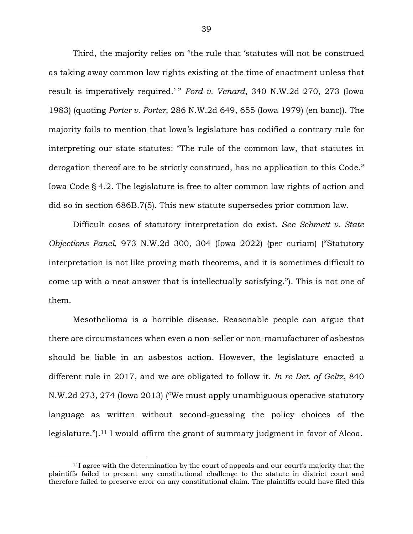Third, the majority relies on "the rule that 'statutes will not be construed as taking away common law rights existing at the time of enactment unless that result is imperatively required.' " *Ford v. Venard*, 340 N.W.2d 270, 273 (Iowa 1983) (quoting *Porter v. Porter*, 286 N.W.2d 649, 655 (Iowa 1979) (en banc)). The majority fails to mention that Iowa's legislature has codified a contrary rule for interpreting our state statutes: "The rule of the common law, that statutes in derogation thereof are to be strictly construed, has no application to this Code." Iowa Code § 4.2. The legislature is free to alter common law rights of action and did so in section 686B.7(5). This new statute supersedes prior common law.

Difficult cases of statutory interpretation do exist. *See Schmett v. State Objections Panel*, 973 N.W.2d 300, 304 (Iowa 2022) (per curiam) ("Statutory interpretation is not like proving math theorems, and it is sometimes difficult to come up with a neat answer that is intellectually satisfying."). This is not one of them.

Mesothelioma is a horrible disease. Reasonable people can argue that there are circumstances when even a non-seller or non-manufacturer of asbestos should be liable in an asbestos action. However, the legislature enacted a different rule in 2017, and we are obligated to follow it. *In re Det. of Geltz*, 840 N.W.2d 273, 274 (Iowa 2013) ("We must apply unambiguous operative statutory language as written without second-guessing the policy choices of the legislature.").<sup>11</sup> I would affirm the grant of summary judgment in favor of Alcoa.

<sup>11</sup>I agree with the determination by the court of appeals and our court's majority that the plaintiffs failed to present any constitutional challenge to the statute in district court and therefore failed to preserve error on any constitutional claim. The plaintiffs could have filed this